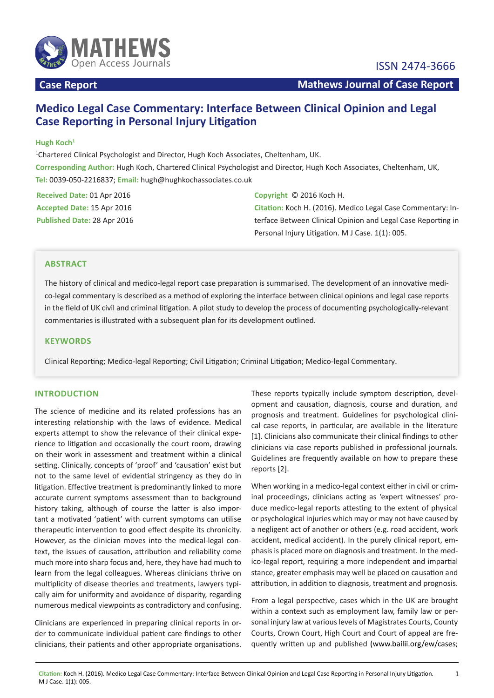

# **Medico Legal Case Commentary: Interface Between Clinical Opinion and Legal Case Reporting in Personal Injury Litigation**

# **Hugh Koch1**

1 Chartered Clinical Psychologist and Director, Hugh Koch Associates, Cheltenham, UK. **Corresponding Author:** Hugh Koch, Chartered Clinical Psychologist and Director, Hugh Koch Associates, Cheltenham, UK, **Tel:** 0039-050-2216837; **Email:** hugh@hughkochassociates.co.uk

**Received Date:** 01 Apr 2016 **Accepted Date:** 15 Apr 2016 **Published Date:** 28 Apr 2016 **Copyright** © 2016 Koch H.

**Citation:** Koch H. (2016). Medico Legal Case Commentary: Interface Between Clinical Opinion and Legal Case Reporting in Personal Injury Litigation. M J Case. 1(1): 005.

# **ABSTRACT**

The history of clinical and medico-legal report case preparation is summarised. The development of an innovative medico-legal commentary is described as a method of exploring the interface between clinical opinions and legal case reports in the field of UK civil and criminal litigation. A pilot study to develop the process of documenting psychologically-relevant commentaries is illustrated with a subsequent plan for its development outlined.

# **KEYWORDS**

Clinical Reporting; Medico-legal Reporting; Civil Litigation; Criminal Litigation; Medico-legal Commentary.

# **INTRODUCTION**

The science of medicine and its related professions has an interesting relationship with the laws of evidence. Medical experts attempt to show the relevance of their clinical experience to litigation and occasionally the court room, drawing on their work in assessment and treatment within a clinical setting. Clinically, concepts of 'proof' and 'causation' exist but not to the same level of evidential stringency as they do in litigation. Effective treatment is predominantly linked to more accurate current symptoms assessment than to background history taking, although of course the latter is also important a motivated 'patient' with current symptoms can utilise therapeutic intervention to good effect despite its chronicity. However, as the clinician moves into the medical-legal context, the issues of causation, attribution and reliability come much more into sharp focus and, here, they have had much to learn from the legal colleagues. Whereas clinicians thrive on multiplicity of disease theories and treatments, lawyers typically aim for uniformity and avoidance of disparity, regarding numerous medical viewpoints as contradictory and confusing.

Clinicians are experienced in preparing clinical reports in order to communicate individual patient care findings to other clinicians, their patients and other appropriate organisations. These reports typically include symptom description, development and causation, diagnosis, course and duration, and prognosis and treatment. Guidelines for psychological clinical case reports, in particular, are available in the literature [1]. Clinicians also communicate their clinical findings to other clinicians via case reports published in professional journals. Guidelines are frequently available on how to prepare these reports [2].

When working in a medico-legal context either in civil or criminal proceedings, clinicians acting as 'expert witnesses' produce medico-legal reports attesting to the extent of physical or psychological injuries which may or may not have caused by a negligent act of another or others (e.g. road accident, work accident, medical accident). In the purely clinical report, emphasis is placed more on diagnosis and treatment. In the medico-legal report, requiring a more independent and impartial stance, greater emphasis may well be placed on causation and attribution, in addition to diagnosis, treatment and prognosis.

From a legal perspective, cases which in the UK are brought within a context such as employment law, family law or personal injury law at various levels of Magistrates Courts, County Courts, Crown Court, High Court and Court of appeal are frequently written up and published [\(www.bailii.org/ew/cases](http://www.bailii.org/ew/cases);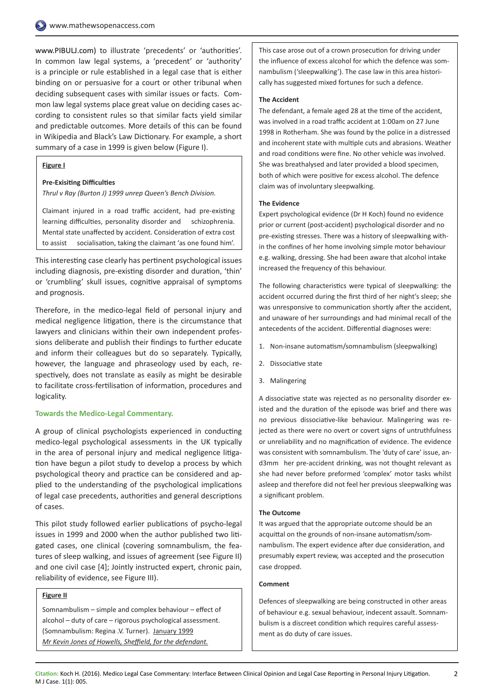[www.PIBULJ.com](http://www.pibulj.com)) to illustrate 'precedents' or 'authorities'. In common law legal systems, a 'precedent' or 'authority' is a principle or rule established in a legal case that is either binding on or persuasive for a court or other tribunal when deciding subsequent cases with similar issues or facts. Common law legal systems place great value on deciding cases according to consistent rules so that similar facts yield similar and predictable outcomes. More details of this can be found in Wikipedia and Black's Law Dictionary. For example, a short summary of a case in 1999 is given below (Figure I).

#### **Figure I**

#### **Pre-Exisiting Difficulties**

*Thrul v Ray (Burton J) 1999 unrep Queen's Bench Division.*

Claimant injured in a road traffic accident, had pre-existing learning difficulties, personality disorder and schizophrenia. Mental state unaffected by accident. Consideration of extra cost to assist socialisation, taking the claimant 'as one found him'.

This interesting case clearly has pertinent psychological issues including diagnosis, pre-existing disorder and duration, 'thin' or 'crumbling' skull issues, cognitive appraisal of symptoms and prognosis.

Therefore, in the medico-legal field of personal injury and medical negligence litigation, there is the circumstance that lawyers and clinicians within their own independent professions deliberate and publish their findings to further educate and inform their colleagues but do so separately. Typically, however, the language and phraseology used by each, respectively, does not translate as easily as might be desirable to facilitate cross-fertilisation of information, procedures and logicality.

### **Towards the Medico-Legal Commentary.**

A group of clinical psychologists experienced in conducting medico-legal psychological assessments in the UK typically in the area of personal injury and medical negligence litigation have begun a pilot study to develop a process by which psychological theory and practice can be considered and applied to the understanding of the psychological implications of legal case precedents, authorities and general descriptions of cases.

This pilot study followed earlier publications of psycho-legal issues in 1999 and 2000 when the author published two litigated cases, one clinical (covering somnambulism, the features of sleep walking, and issues of agreement (see Figure II) and one civil case [4]; Jointly instructed expert, chronic pain, reliability of evidence, see Figure III).

#### **Figure II**

Somnambulism – simple and complex behaviour – effect of alcohol – duty of care – rigorous psychological assessment. (Somnambulism: Regina .V. Turner). January 1999 *Mr Kevin Jones of Howells, Sheffield, for the defendant.*

This case arose out of a crown prosecution for driving under the influence of excess alcohol for which the defence was somnambulism ('sleepwalking'). The case law in this area historically has suggested mixed fortunes for such a defence.

#### **The Accident**

The defendant, a female aged 28 at the time of the accident, was involved in a road traffic accident at 1:00am on 27 June 1998 in Rotherham. She was found by the police in a distressed and incoherent state with multiple cuts and abrasions. Weather and road conditions were fine. No other vehicle was involved. She was breathalysed and later provided a blood specimen, both of which were positive for excess alcohol. The defence claim was of involuntary sleepwalking.

#### **The Evidence**

Expert psychological evidence (Dr H Koch) found no evidence prior or current (post-accident) psychological disorder and no pre-existing stresses. There was a history of sleepwalking within the confines of her home involving simple motor behaviour e.g. walking, dressing. She had been aware that alcohol intake increased the frequency of this behaviour.

The following characteristics were typical of sleepwalking: the accident occurred during the first third of her night's sleep; she was unresponsive to communication shortly after the accident, and unaware of her surroundings and had minimal recall of the antecedents of the accident. Differential diagnoses were:

- 1. Non-insane automatism/somnambulism (sleepwalking)
- 2. Dissociative state
- 3. Malingering

A dissociative state was rejected as no personality disorder existed and the duration of the episode was brief and there was no previous dissociative-like behaviour. Malingering was rejected as there were no overt or covert signs of untruthfulness or unreliability and no magnification of evidence. The evidence was consistent with somnambulism. The 'duty of care' issue, and3mm her pre-accident drinking, was not thought relevant as she had never before preformed 'complex' motor tasks whilst asleep and therefore did not feel her previous sleepwalking was a significant problem.

#### **The Outcome**

It was argued that the appropriate outcome should be an acquittal on the grounds of non-insane automatism/somnambulism. The expert evidence after due consideration, and presumably expert review, was accepted and the prosecution case dropped.

#### **Comment**

Defences of sleepwalking are being constructed in other areas of behaviour e.g. sexual behaviour, indecent assault. Somnambulism is a discreet condition which requires careful assessment as do duty of care issues.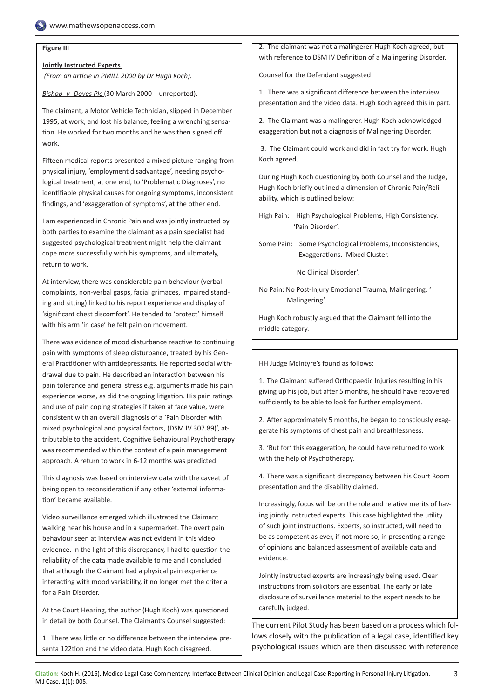# **Figure III**

# **Jointly Instructed Experts**

 *(From an article in PMILL 2000 by Dr Hugh Koch).*

*Bishop -v- Doves Plc* (30 March 2000 – unreported).

The claimant, a Motor Vehicle Technician, slipped in December 1995, at work, and lost his balance, feeling a wrenching sensation. He worked for two months and he was then signed off work.

Fifteen medical reports presented a mixed picture ranging from physical injury, 'employment disadvantage', needing psychological treatment, at one end, to 'Problematic Diagnoses', no identifiable physical causes for ongoing symptoms, inconsistent findings, and 'exaggeration of symptoms', at the other end.

I am experienced in Chronic Pain and was jointly instructed by both parties to examine the claimant as a pain specialist had suggested psychological treatment might help the claimant cope more successfully with his symptoms, and ultimately, return to work.

At interview, there was considerable pain behaviour (verbal complaints, non-verbal gasps, facial grimaces, impaired standing and sitting) linked to his report experience and display of 'significant chest discomfort'. He tended to 'protect' himself with his arm 'in case' he felt pain on movement.

There was evidence of mood disturbance reactive to continuing pain with symptoms of sleep disturbance, treated by his General Practitioner with antidepressants. He reported social withdrawal due to pain. He described an interaction between his pain tolerance and general stress e.g. arguments made his pain experience worse, as did the ongoing litigation. His pain ratings and use of pain coping strategies if taken at face value, were consistent with an overall diagnosis of a 'Pain Disorder with mixed psychological and physical factors, (DSM IV 307.89)', attributable to the accident. Cognitive Behavioural Psychotherapy was recommended within the context of a pain management approach. A return to work in 6-12 months was predicted.

This diagnosis was based on interview data with the caveat of being open to reconsideration if any other 'external information' became available.

Video surveillance emerged which illustrated the Claimant walking near his house and in a supermarket. The overt pain behaviour seen at interview was not evident in this video evidence. In the light of this discrepancy, I had to question the reliability of the data made available to me and I concluded that although the Claimant had a physical pain experience interacting with mood variability, it no longer met the criteria for a Pain Disorder.

At the Court Hearing, the author (Hugh Koch) was questioned in detail by both Counsel. The Claimant's Counsel suggested:

1. There was little or no difference between the interview presenta 122tion and the video data. Hugh Koch disagreed.

2. The claimant was not a malingerer. Hugh Koch agreed, but with reference to DSM IV Definition of a Malingering Disorder.

Counsel for the Defendant suggested:

1. There was a significant difference between the interview presentation and the video data. Hugh Koch agreed this in part.

2. The Claimant was a malingerer. Hugh Koch acknowledged exaggeration but not a diagnosis of Malingering Disorder.

 3. The Claimant could work and did in fact try for work. Hugh Koch agreed.

During Hugh Koch questioning by both Counsel and the Judge, Hugh Koch briefly outlined a dimension of Chronic Pain/Reliability, which is outlined below:

High Pain: High Psychological Problems, High Consistency. 'Pain Disorder'.

Some Pain: Some Psychological Problems, Inconsistencies, Exaggerations. 'Mixed Cluster.

No Clinical Disorder'.

No Pain: No Post-Injury Emotional Trauma, Malingering. ' Malingering'.

Hugh Koch robustly argued that the Claimant fell into the middle category.

HH Judge McIntyre's found as follows:

1. The Claimant suffered Orthopaedic Injuries resulting in his giving up his job, but after 5 months, he should have recovered sufficiently to be able to look for further employment.

2. After approximately 5 months, he began to consciously exaggerate his symptoms of chest pain and breathlessness.

3. 'But for' this exaggeration, he could have returned to work with the help of Psychotherapy.

4. There was a significant discrepancy between his Court Room presentation and the disability claimed.

Increasingly, focus will be on the role and relative merits of having jointly instructed experts. This case highlighted the utility of such joint instructions. Experts, so instructed, will need to be as competent as ever, if not more so, in presenting a range of opinions and balanced assessment of available data and evidence.

Jointly instructed experts are increasingly being used. Clear instructions from solicitors are essential. The early or late disclosure of surveillance material to the expert needs to be carefully judged.

The current Pilot Study has been based on a process which follows closely with the publication of a legal case, identified key psychological issues which are then discussed with reference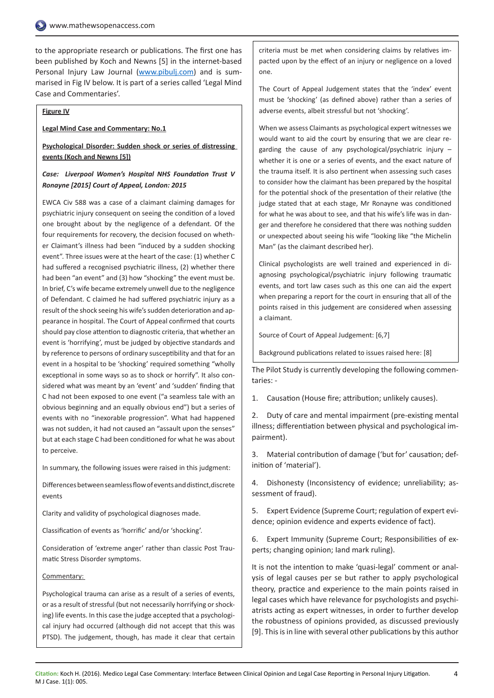to the appropriate research or publications. The first one has been published by Koch and Newns [5] in the internet-based Personal Injury Law Journal ([www.pibulj.com](http://www.pibulj.com)) and is summarised in Fig IV below. It is part of a series called 'Legal Mind Case and Commentaries'.

#### **Figure IV**

#### **Legal Mind Case and Commentary: No.1**

# **Psychological Disorder: Sudden shock or series of distressing events (Koch and Newns [5])**

# *Case: Liverpool Women's Hospital NHS Foundation Trust V Ronayne [2015] Court of Appeal, London: 2015*

EWCA Civ 588 was a case of a claimant claiming damages for psychiatric injury consequent on seeing the condition of a loved one brought about by the negligence of a defendant. Of the four requirements for recovery, the decision focused on whether Claimant's illness had been "induced by a sudden shocking event". Three issues were at the heart of the case: (1) whether C had suffered a recognised psychiatric illness, (2) whether there had been "an event" and (3) how "shocking" the event must be. In brief, C's wife became extremely unwell due to the negligence of Defendant. C claimed he had suffered psychiatric injury as a result of the shock seeing his wife's sudden deterioration and appearance in hospital. The Court of Appeal confirmed that courts should pay close attention to diagnostic criteria, that whether an event is 'horrifying', must be judged by objective standards and by reference to persons of ordinary susceptibility and that for an event in a hospital to be 'shocking' required something "wholly exceptional in some ways so as to shock or horrify". It also considered what was meant by an 'event' and 'sudden' finding that C had not been exposed to one event ("a seamless tale with an obvious beginning and an equally obvious end") but a series of events with no "inexorable progression". What had happened was not sudden, it had not caused an "assault upon the senses" but at each stage C had been conditioned for what he was about to perceive.

In summary, the following issues were raised in this judgment:

Differences between seamless flow of events and distinct,discrete events

Clarity and validity of psychological diagnoses made.

Classification of events as 'horrific' and/or 'shocking'.

Consideration of 'extreme anger' rather than classic Post Traumatic Stress Disorder symptoms.

### Commentary:

Psychological trauma can arise as a result of a series of events, or as a result of stressful (but not necessarily horrifying or shocking) life events. In this case the judge accepted that a psychological injury had occurred (although did not accept that this was PTSD). The judgement, though, has made it clear that certain criteria must be met when considering claims by relatives impacted upon by the effect of an injury or negligence on a loved one.

The Court of Appeal Judgement states that the 'index' event must be 'shocking' (as defined above) rather than a series of adverse events, albeit stressful but not 'shocking'.

When we assess Claimants as psychological expert witnesses we would want to aid the court by ensuring that we are clear regarding the cause of any psychological/psychiatric injury – whether it is one or a series of events, and the exact nature of the trauma itself. It is also pertinent when assessing such cases to consider how the claimant has been prepared by the hospital for the potential shock of the presentation of their relative (the judge stated that at each stage, Mr Ronayne was conditioned for what he was about to see, and that his wife's life was in danger and therefore he considered that there was nothing sudden or unexpected about seeing his wife "looking like "the Michelin Man" (as the claimant described her).

Clinical psychologists are well trained and experienced in diagnosing psychological/psychiatric injury following traumatic events, and tort law cases such as this one can aid the expert when preparing a report for the court in ensuring that all of the points raised in this judgement are considered when assessing a claimant.

Source of Court of Appeal Judgement: [6,7]

Background publications related to issues raised here: [8]

The Pilot Study is currently developing the following commentaries: -

1. Causation (House fire; attribution; unlikely causes).

2. Duty of care and mental impairment (pre-existing mental illness; differentiation between physical and psychological impairment).

3. Material contribution of damage ('but for' causation; definition of 'material').

4. Dishonesty (Inconsistency of evidence; unreliability; assessment of fraud).

5. Expert Evidence (Supreme Court; regulation of expert evidence; opinion evidence and experts evidence of fact).

6. Expert Immunity (Supreme Court; Responsibilities of experts; changing opinion; Iand mark ruling).

It is not the intention to make 'quasi-legal' comment or analysis of legal causes per se but rather to apply psychological theory, practice and experience to the main points raised in legal cases which have relevance for psychologists and psychiatrists acting as expert witnesses, in order to further develop the robustness of opinions provided, as discussed previously [9]. This is in line with several other publications by this author